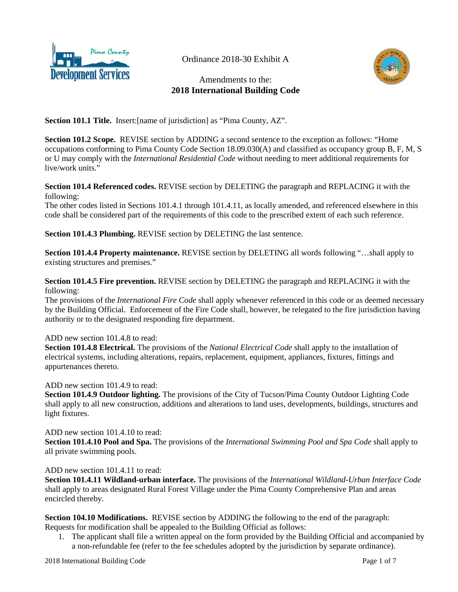

Ordinance 2018-30 Exhibit A

# Amendments to the: **2018 International Building Code**



**Section 101.1 Title.** Insert: [name of jurisdiction] as "Pima County, AZ".

**Section 101.2 Scope.** REVISE section by ADDING a second sentence to the exception as follows: "Home occupations conforming to Pima County Code Section 18.09.030(A) and classified as occupancy group B, F, M, S or U may comply with the *International Residential Code* without needing to meet additional requirements for live/work units."

#### **Section 101.4 Referenced codes.** REVISE section by DELETING the paragraph and REPLACING it with the following:

The other codes listed in Sections 101.4.1 through 101.4.11, as locally amended, and referenced elsewhere in this code shall be considered part of the requirements of this code to the prescribed extent of each such reference.

**Section 101.4.3 Plumbing.** REVISE section by DELETING the last sentence.

**Section 101.4.4 Property maintenance.** REVISE section by DELETING all words following "…shall apply to existing structures and premises."

**Section 101.4.5 Fire prevention.** REVISE section by DELETING the paragraph and REPLACING it with the following:

The provisions of the *International Fire Code* shall apply whenever referenced in this code or as deemed necessary by the Building Official. Enforcement of the Fire Code shall, however, be relegated to the fire jurisdiction having authority or to the designated responding fire department.

#### ADD new section 101.4.8 to read:

**Section 101.4.8 Electrical.** The provisions of the *National Electrical Code* shall apply to the installation of electrical systems, including alterations, repairs, replacement, equipment, appliances, fixtures, fittings and appurtenances thereto.

ADD new section 101.4.9 to read:

**Section 101.4.9 Outdoor lighting.** The provisions of the City of Tucson/Pima County Outdoor Lighting Code shall apply to all new construction, additions and alterations to land uses, developments, buildings, structures and light fixtures.

#### ADD new section 101.4.10 to read:

**Section 101.4.10 Pool and Spa.** The provisions of the *International Swimming Pool and Spa Code* shall apply to all private swimming pools.

ADD new section 101.4.11 to read:

**Section 101.4.11 Wildland-urban interface.** The provisions of the *International Wildland-Urban Interface Code*  shall apply to areas designated Rural Forest Village under the Pima County Comprehensive Plan and areas encircled thereby.

**Section 104.10 Modifications.** REVISE section by ADDING the following to the end of the paragraph: Requests for modification shall be appealed to the Building Official as follows:

1. The applicant shall file a written appeal on the form provided by the Building Official and accompanied by a non-refundable fee (refer to the fee schedules adopted by the jurisdiction by separate ordinance).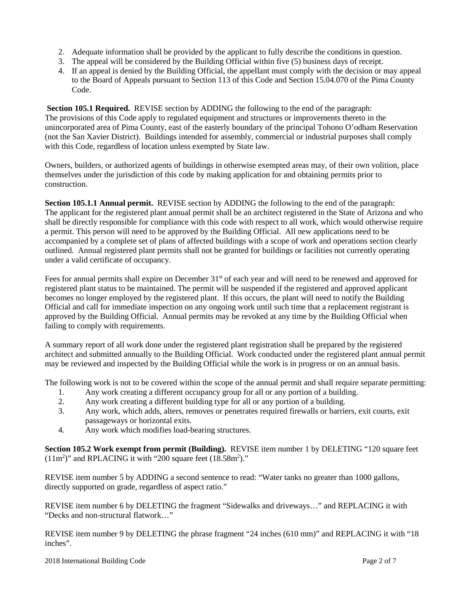- 2. Adequate information shall be provided by the applicant to fully describe the conditions in question.
- 3. The appeal will be considered by the Building Official within five (5) business days of receipt.
- 4. If an appeal is denied by the Building Official, the appellant must comply with the decision or may appeal to the Board of Appeals pursuant to Section 113 of this Code and Section 15.04.070 of the Pima County Code.

**Section 105.1 Required.** REVISE section by ADDING the following to the end of the paragraph: The provisions of this Code apply to regulated equipment and structures or improvements thereto in the unincorporated area of Pima County, east of the easterly boundary of the principal Tohono O'odham Reservation (not the San Xavier District). Buildings intended for assembly, commercial or industrial purposes shall comply with this Code, regardless of location unless exempted by State law.

Owners, builders, or authorized agents of buildings in otherwise exempted areas may, of their own volition, place themselves under the jurisdiction of this code by making application for and obtaining permits prior to construction.

**Section 105.1.1 Annual permit.** REVISE section by ADDING the following to the end of the paragraph: The applicant for the registered plant annual permit shall be an architect registered in the State of Arizona and who shall be directly responsible for compliance with this code with respect to all work, which would otherwise require a permit. This person will need to be approved by the Building Official. All new applications need to be accompanied by a complete set of plans of affected buildings with a scope of work and operations section clearly outlined. Annual registered plant permits shall not be granted for buildings or facilities not currently operating under a valid certificate of occupancy.

Fees for annual permits shall expire on December 31<sup>st</sup> of each year and will need to be renewed and approved for registered plant status to be maintained. The permit will be suspended if the registered and approved applicant becomes no longer employed by the registered plant. If this occurs, the plant will need to notify the Building Official and call for immediate inspection on any ongoing work until such time that a replacement registrant is approved by the Building Official. Annual permits may be revoked at any time by the Building Official when failing to comply with requirements.

A summary report of all work done under the registered plant registration shall be prepared by the registered architect and submitted annually to the Building Official. Work conducted under the registered plant annual permit may be reviewed and inspected by the Building Official while the work is in progress or on an annual basis.

The following work is not to be covered within the scope of the annual permit and shall require separate permitting:

- 1. Any work creating a different occupancy group for all or any portion of a building.
- 2. Any work creating a different building type for all or any portion of a building.
- 3. Any work, which adds, alters, removes or penetrates required firewalls or barriers, exit courts, exit passageways or horizontal exits.
- 4. Any work which modifies load-bearing structures.

**Section 105.2 Work exempt from permit (Building).** REVISE item number 1 by DELETING "120 square feet  $(11m<sup>2</sup>)$ " and RPLACING it with "200 square feet  $(18.58m<sup>2</sup>)$ ."

REVISE item number 5 by ADDING a second sentence to read: "Water tanks no greater than 1000 gallons, directly supported on grade, regardless of aspect ratio."

REVISE item number 6 by DELETING the fragment "Sidewalks and driveways…" and REPLACING it with "Decks and non-structural flatwork…"

REVISE item number 9 by DELETING the phrase fragment "24 inches (610 mm)" and REPLACING it with "18 inches".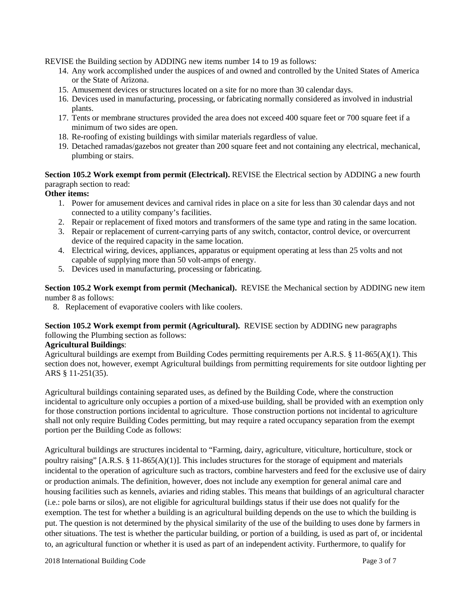REVISE the Building section by ADDING new items number 14 to 19 as follows:

- 14. Any work accomplished under the auspices of and owned and controlled by the United States of America or the State of Arizona.
- 15. Amusement devices or structures located on a site for no more than 30 calendar days.
- 16. Devices used in manufacturing, processing, or fabricating normally considered as involved in industrial plants.
- 17. Tents or membrane structures provided the area does not exceed 400 square feet or 700 square feet if a minimum of two sides are open.
- 18. Re-roofing of existing buildings with similar materials regardless of value.
- 19. Detached ramadas/gazebos not greater than 200 square feet and not containing any electrical, mechanical, plumbing or stairs.

**Section 105.2 Work exempt from permit (Electrical).** REVISE the Electrical section by ADDING a new fourth paragraph section to read:

#### **Other items:**

- 1. Power for amusement devices and carnival rides in place on a site for less than 30 calendar days and not connected to a utility company's facilities.
- 2. Repair or replacement of fixed motors and transformers of the same type and rating in the same location.
- 3. Repair or replacement of current-carrying parts of any switch, contactor, control device, or overcurrent device of the required capacity in the same location.
- 4. Electrical wiring, devices, appliances, apparatus or equipment operating at less than 25 volts and not capable of supplying more than 50 volt-amps of energy.
- 5. Devices used in manufacturing, processing or fabricating.

**Section 105.2 Work exempt from permit (Mechanical).** REVISE the Mechanical section by ADDING new item number 8 as follows:

8. Replacement of evaporative coolers with like coolers.

**Section 105.2 Work exempt from permit (Agricultural).** REVISE section by ADDING new paragraphs following the Plumbing section as follows:

#### **Agricultural Buildings**:

Agricultural buildings are exempt from Building Codes permitting requirements per A.R.S. § 11-865(A)(1). This section does not, however, exempt Agricultural buildings from permitting requirements for site outdoor lighting per ARS § 11-251(35).

Agricultural buildings containing separated uses, as defined by the Building Code, where the construction incidental to agriculture only occupies a portion of a mixed-use building, shall be provided with an exemption only for those construction portions incidental to agriculture. Those construction portions not incidental to agriculture shall not only require Building Codes permitting, but may require a rated occupancy separation from the exempt portion per the Building Code as follows:

Agricultural buildings are structures incidental to "Farming, dairy, agriculture, viticulture, horticulture, stock or poultry raising" [A.R.S. § 11-865(A)(1)]. This includes structures for the storage of equipment and materials incidental to the operation of agriculture such as tractors, combine harvesters and feed for the exclusive use of dairy or production animals. The definition, however, does not include any exemption for general animal care and housing facilities such as kennels, aviaries and riding stables. This means that buildings of an agricultural character (i.e.: pole barns or silos), are not eligible for agricultural buildings status if their use does not qualify for the exemption. The test for whether a building is an agricultural building depends on the use to which the building is put. The question is not determined by the physical similarity of the use of the building to uses done by farmers in other situations. The test is whether the particular building, or portion of a building, is used as part of, or incidental to, an agricultural function or whether it is used as part of an independent activity. Furthermore, to qualify for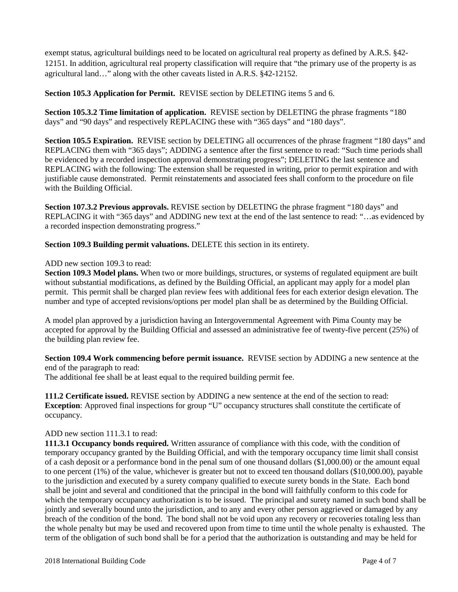exempt status, agricultural buildings need to be located on agricultural real property as defined by A.R.S. §42- 12151. In addition, agricultural real property classification will require that "the primary use of the property is as agricultural land…" along with the other caveats listed in A.R.S. §42-12152.

**Section 105.3 Application for Permit.** REVISE section by DELETING items 5 and 6.

**Section 105.3.2 Time limitation of application.** REVISE section by DELETING the phrase fragments "180 days" and "90 days" and respectively REPLACING these with "365 days" and "180 days".

**Section 105.5 Expiration.** REVISE section by DELETING all occurrences of the phrase fragment "180 days" and REPLACING them with "365 days"; ADDING a sentence after the first sentence to read: "Such time periods shall be evidenced by a recorded inspection approval demonstrating progress"; DELETING the last sentence and REPLACING with the following: The extension shall be requested in writing, prior to permit expiration and with justifiable cause demonstrated. Permit reinstatements and associated fees shall conform to the procedure on file with the Building Official.

**Section 107.3.2 Previous approvals.** REVISE section by DELETING the phrase fragment "180 days" and REPLACING it with "365 days" and ADDING new text at the end of the last sentence to read: "…as evidenced by a recorded inspection demonstrating progress."

**Section 109.3 Building permit valuations.** DELETE this section in its entirety.

#### ADD new section 109.3 to read:

**Section 109.3 Model plans.** When two or more buildings, structures, or systems of regulated equipment are built without substantial modifications, as defined by the Building Official, an applicant may apply for a model plan permit. This permit shall be charged plan review fees with additional fees for each exterior design elevation. The number and type of accepted revisions/options per model plan shall be as determined by the Building Official.

A model plan approved by a jurisdiction having an Intergovernmental Agreement with Pima County may be accepted for approval by the Building Official and assessed an administrative fee of twenty-five percent (25%) of the building plan review fee.

**Section 109.4 Work commencing before permit issuance.** REVISE section by ADDING a new sentence at the end of the paragraph to read:

The additional fee shall be at least equal to the required building permit fee.

**111.2 Certificate issued.** REVISE section by ADDING a new sentence at the end of the section to read: **Exception**: Approved final inspections for group "U" occupancy structures shall constitute the certificate of occupancy.

#### ADD new section 111.3.1 to read:

**111.3.1 Occupancy bonds required.** Written assurance of compliance with this code, with the condition of temporary occupancy granted by the Building Official, and with the temporary occupancy time limit shall consist of a cash deposit or a performance bond in the penal sum of one thousand dollars (\$1,000.00) or the amount equal to one percent (1%) of the value, whichever is greater but not to exceed ten thousand dollars (\$10,000.00), payable to the jurisdiction and executed by a surety company qualified to execute surety bonds in the State. Each bond shall be joint and several and conditioned that the principal in the bond will faithfully conform to this code for which the temporary occupancy authorization is to be issued. The principal and surety named in such bond shall be jointly and severally bound unto the jurisdiction, and to any and every other person aggrieved or damaged by any breach of the condition of the bond. The bond shall not be void upon any recovery or recoveries totaling less than the whole penalty but may be used and recovered upon from time to time until the whole penalty is exhausted. The term of the obligation of such bond shall be for a period that the authorization is outstanding and may be held for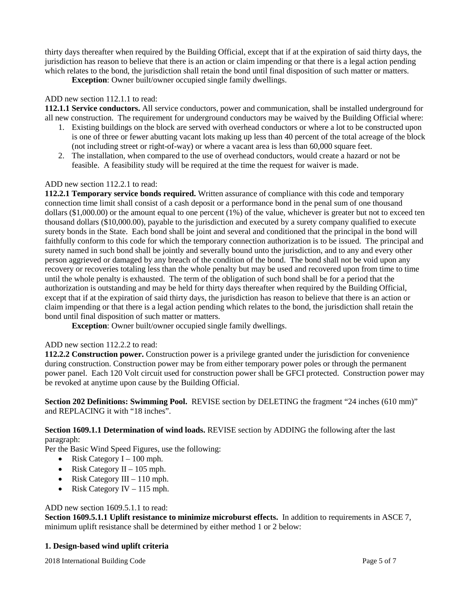thirty days thereafter when required by the Building Official, except that if at the expiration of said thirty days, the jurisdiction has reason to believe that there is an action or claim impending or that there is a legal action pending which relates to the bond, the jurisdiction shall retain the bond until final disposition of such matter or matters.

**Exception**: Owner built/owner occupied single family dwellings.

#### ADD new section 112.1.1 to read:

**112.1.1 Service conductors.** All service conductors, power and communication, shall be installed underground for all new construction. The requirement for underground conductors may be waived by the Building Official where:

- 1. Existing buildings on the block are served with overhead conductors or where a lot to be constructed upon is one of three or fewer abutting vacant lots making up less than 40 percent of the total acreage of the block (not including street or right-of-way) or where a vacant area is less than 60,000 square feet.
- 2. The installation, when compared to the use of overhead conductors, would create a hazard or not be feasible. A feasibility study will be required at the time the request for waiver is made.

#### ADD new section 112.2.1 to read:

**112.2.1 Temporary service bonds required.** Written assurance of compliance with this code and temporary connection time limit shall consist of a cash deposit or a performance bond in the penal sum of one thousand dollars (\$1,000.00) or the amount equal to one percent (1%) of the value, whichever is greater but not to exceed ten thousand dollars (\$10,000.00), payable to the jurisdiction and executed by a surety company qualified to execute surety bonds in the State. Each bond shall be joint and several and conditioned that the principal in the bond will faithfully conform to this code for which the temporary connection authorization is to be issued. The principal and surety named in such bond shall be jointly and severally bound unto the jurisdiction, and to any and every other person aggrieved or damaged by any breach of the condition of the bond. The bond shall not be void upon any recovery or recoveries totaling less than the whole penalty but may be used and recovered upon from time to time until the whole penalty is exhausted. The term of the obligation of such bond shall be for a period that the authorization is outstanding and may be held for thirty days thereafter when required by the Building Official, except that if at the expiration of said thirty days, the jurisdiction has reason to believe that there is an action or claim impending or that there is a legal action pending which relates to the bond, the jurisdiction shall retain the bond until final disposition of such matter or matters.

**Exception**: Owner built/owner occupied single family dwellings.

## ADD new section 112.2.2 to read:

**112.2.2 Construction power.** Construction power is a privilege granted under the jurisdiction for convenience during construction. Construction power may be from either temporary power poles or through the permanent power panel. Each 120 Volt circuit used for construction power shall be GFCI protected. Construction power may be revoked at anytime upon cause by the Building Official.

**Section 202 Definitions: Swimming Pool.** REVISE section by DELETING the fragment "24 inches (610 mm)" and REPLACING it with "18 inches".

**Section 1609.1.1 Determination of wind loads.** REVISE section by ADDING the following after the last paragraph:

Per the Basic Wind Speed Figures, use the following:

- Risk Category  $I 100$  mph.
- Risk Category  $II 105$  mph.
- Risk Category III 110 mph.
- Risk Category IV 115 mph.

#### ADD new section 1609.5.1.1 to read:

**Section 1609.5.1.1 Uplift resistance to minimize microburst effects.** In addition to requirements in ASCE 7, minimum uplift resistance shall be determined by either method 1 or 2 below:

#### **1. Design-based wind uplift criteria**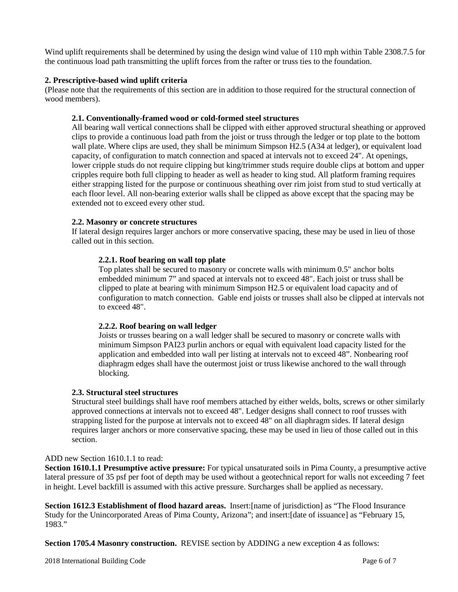Wind uplift requirements shall be determined by using the design wind value of 110 mph within Table 2308.7.5 for the continuous load path transmitting the uplift forces from the rafter or truss ties to the foundation.

#### **2. Prescriptive-based wind uplift criteria**

(Please note that the requirements of this section are in addition to those required for the structural connection of wood members).

#### **2.1. Conventionally-framed wood or cold-formed steel structures**

All bearing wall vertical connections shall be clipped with either approved structural sheathing or approved clips to provide a continuous load path from the joist or truss through the ledger or top plate to the bottom wall plate. Where clips are used, they shall be minimum Simpson H2.5 (A34 at ledger), or equivalent load capacity, of configuration to match connection and spaced at intervals not to exceed 24". At openings, lower cripple studs do not require clipping but king/trimmer studs require double clips at bottom and upper cripples require both full clipping to header as well as header to king stud. All platform framing requires either strapping listed for the purpose or continuous sheathing over rim joist from stud to stud vertically at each floor level. All non-bearing exterior walls shall be clipped as above except that the spacing may be extended not to exceed every other stud.

#### **2.2. Masonry or concrete structures**

If lateral design requires larger anchors or more conservative spacing, these may be used in lieu of those called out in this section.

#### **2.2.1. Roof bearing on wall top plate**

Top plates shall be secured to masonry or concrete walls with minimum 0.5" anchor bolts embedded minimum 7" and spaced at intervals not to exceed 48". Each joist or truss shall be clipped to plate at bearing with minimum Simpson H2.5 or equivalent load capacity and of configuration to match connection. Gable end joists or trusses shall also be clipped at intervals not to exceed 48".

#### **2.2.2. Roof bearing on wall ledger**

Joists or trusses bearing on a wall ledger shall be secured to masonry or concrete walls with minimum Simpson PAI23 purlin anchors or equal with equivalent load capacity listed for the application and embedded into wall per listing at intervals not to exceed 48". Nonbearing roof diaphragm edges shall have the outermost joist or truss likewise anchored to the wall through blocking.

#### **2.3. Structural steel structures**

Structural steel buildings shall have roof members attached by either welds, bolts, screws or other similarly approved connections at intervals not to exceed 48". Ledger designs shall connect to roof trusses with strapping listed for the purpose at intervals not to exceed 48" on all diaphragm sides. If lateral design requires larger anchors or more conservative spacing, these may be used in lieu of those called out in this section.

#### ADD new Section 1610.1.1 to read:

**Section 1610.1.1 Presumptive active pressure:** For typical unsaturated soils in Pima County, a presumptive active lateral pressure of 35 psf per foot of depth may be used without a geotechnical report for walls not exceeding 7 feet in height. Level backfill is assumed with this active pressure. Surcharges shall be applied as necessary.

**Section 1612.3 Establishment of flood hazard areas.** Insert:[name of jurisdiction] as "The Flood Insurance Study for the Unincorporated Areas of Pima County, Arizona"; and insert:[date of issuance] as "February 15, 1983."

**Section 1705.4 Masonry construction.** REVISE section by ADDING a new exception 4 as follows: